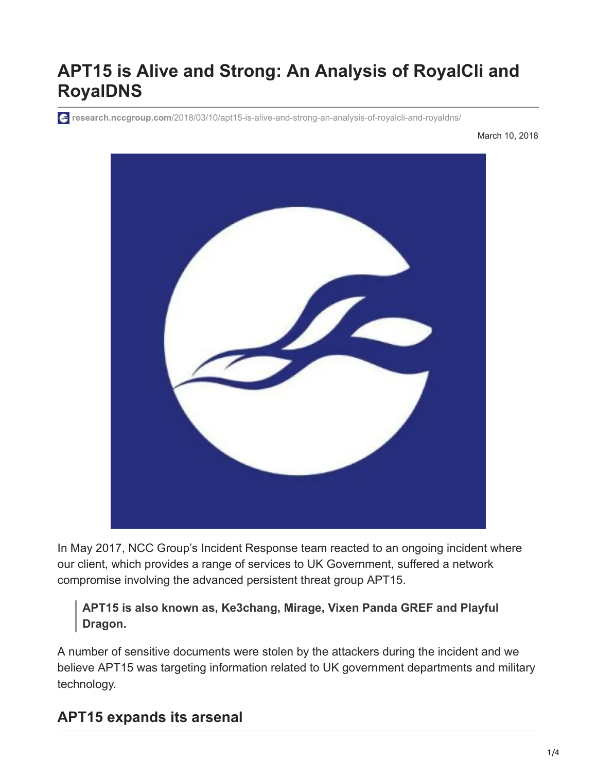# **APT15 is Alive and Strong: An Analysis of RoyalCli and RoyalDNS**

**research.nccgroup.com**[/2018/03/10/apt15-is-alive-and-strong-an-analysis-of-royalcli-and-royaldns/](https://research.nccgroup.com/2018/03/10/apt15-is-alive-and-strong-an-analysis-of-royalcli-and-royaldns/)

March 10, 2018



In May 2017, NCC Group's Incident Response team reacted to an ongoing incident where our client, which provides a range of services to UK Government, suffered a network compromise involving the advanced persistent threat group APT15.

**APT15 is also known as, Ke3chang, Mirage, Vixen Panda GREF and Playful Dragon.**

A number of sensitive documents were stolen by the attackers during the incident and we believe APT15 was targeting information related to UK government departments and military technology.

#### **APT15 expands its arsenal**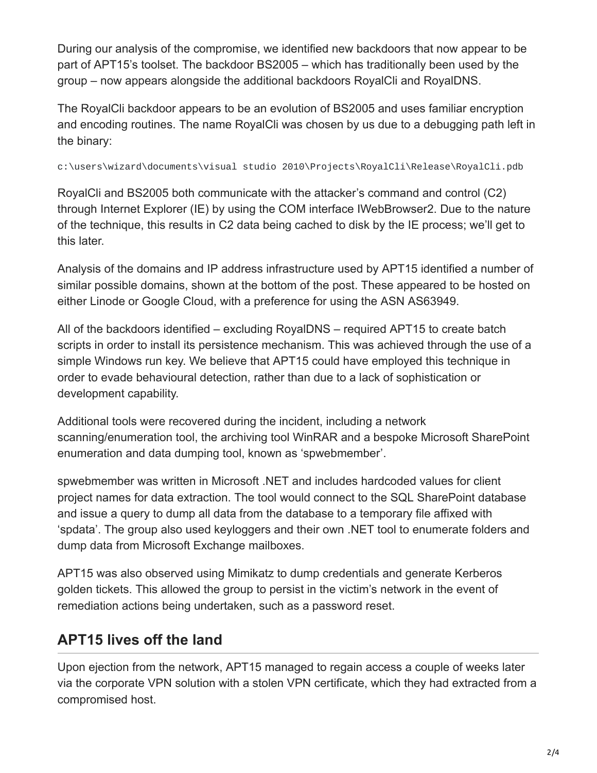During our analysis of the compromise, we identified new backdoors that now appear to be part of APT15's toolset. The backdoor BS2005 – which has traditionally been used by the group – now appears alongside the additional backdoors RoyalCli and RoyalDNS.

The RoyalCli backdoor appears to be an evolution of BS2005 and uses familiar encryption and encoding routines. The name RoyalCli was chosen by us due to a debugging path left in the binary:

c:\users\wizard\documents\visual studio 2010\Projects\RoyalCli\Release\RoyalCli.pdb

RoyalCli and BS2005 both communicate with the attacker's command and control (C2) through Internet Explorer (IE) by using the COM interface IWebBrowser2. Due to the nature of the technique, this results in C2 data being cached to disk by the IE process; we'll get to this later.

Analysis of the domains and IP address infrastructure used by APT15 identified a number of similar possible domains, shown at the bottom of the post. These appeared to be hosted on either Linode or Google Cloud, with a preference for using the ASN AS63949.

All of the backdoors identified – excluding RoyalDNS – required APT15 to create batch scripts in order to install its persistence mechanism. This was achieved through the use of a simple Windows run key. We believe that APT15 could have employed this technique in order to evade behavioural detection, rather than due to a lack of sophistication or development capability.

Additional tools were recovered during the incident, including a network scanning/enumeration tool, the archiving tool WinRAR and a bespoke Microsoft SharePoint enumeration and data dumping tool, known as 'spwebmember'.

spwebmember was written in Microsoft .NET and includes hardcoded values for client project names for data extraction. The tool would connect to the SQL SharePoint database and issue a query to dump all data from the database to a temporary file affixed with 'spdata'. The group also used keyloggers and their own .NET tool to enumerate folders and dump data from Microsoft Exchange mailboxes.

APT15 was also observed using Mimikatz to dump credentials and generate Kerberos golden tickets. This allowed the group to persist in the victim's network in the event of remediation actions being undertaken, such as a password reset.

# **APT15 lives off the land**

Upon ejection from the network, APT15 managed to regain access a couple of weeks later via the corporate VPN solution with a stolen VPN certificate, which they had extracted from a compromised host.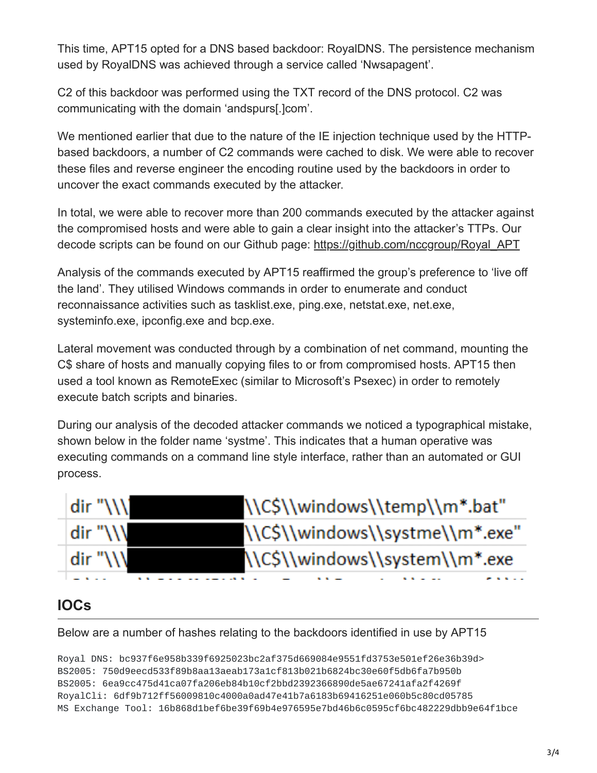This time, APT15 opted for a DNS based backdoor: RoyalDNS. The persistence mechanism used by RoyalDNS was achieved through a service called 'Nwsapagent'.

C2 of this backdoor was performed using the TXT record of the DNS protocol. C2 was communicating with the domain 'andspurs[.]com'.

We mentioned earlier that due to the nature of the IE injection technique used by the HTTPbased backdoors, a number of C2 commands were cached to disk. We were able to recover these files and reverse engineer the encoding routine used by the backdoors in order to uncover the exact commands executed by the attacker.

In total, we were able to recover more than 200 commands executed by the attacker against the compromised hosts and were able to gain a clear insight into the attacker's TTPs. Our decode scripts can be found on our Github page: [https://github.com/nccgroup/Royal\\_APT](https://github.com/nccgroup/Royal_APT)

Analysis of the commands executed by APT15 reaffirmed the group's preference to 'live off the land'. They utilised Windows commands in order to enumerate and conduct reconnaissance activities such as tasklist.exe, ping.exe, netstat.exe, net.exe, systeminfo.exe, ipconfig.exe and bcp.exe.

Lateral movement was conducted through by a combination of net command, mounting the C\$ share of hosts and manually copying files to or from compromised hosts. APT15 then used a tool known as RemoteExec (similar to Microsoft's Psexec) in order to remotely execute batch scripts and binaries.

During our analysis of the decoded attacker commands we noticed a typographical mistake, shown below in the folder name 'systme'. This indicates that a human operative was executing commands on a command line style interface, rather than an automated or GUI process.

| dir "\\\\ | \\C\$\\windows\\temp\\m*.bat"   |
|-----------|---------------------------------|
| dir "\\\\ | \\C\$\\windows\\systme\\m*.exe" |
| dir "\\\  | \\C\$\\windows\\system\\m*.exe  |
|           |                                 |

## **IOCs**

Below are a number of hashes relating to the backdoors identified in use by APT15

Royal DNS: bc937f6e958b339f6925023bc2af375d669084e9551fd3753e501ef26e36b39d> BS2005: 750d9eecd533f89b8aa13aeab173a1cf813b021b6824bc30e60f5db6fa7b950b BS2005: 6ea9cc475d41ca07fa206eb84b10cf2bbd2392366890de5ae67241afa2f4269f RoyalCli: 6df9b712ff56009810c4000a0ad47e41b7a6183b69416251e060b5c80cd05785 MS Exchange Tool: 16b868d1bef6be39f69b4e976595e7bd46b6c0595cf6bc482229dbb9e64f1bce